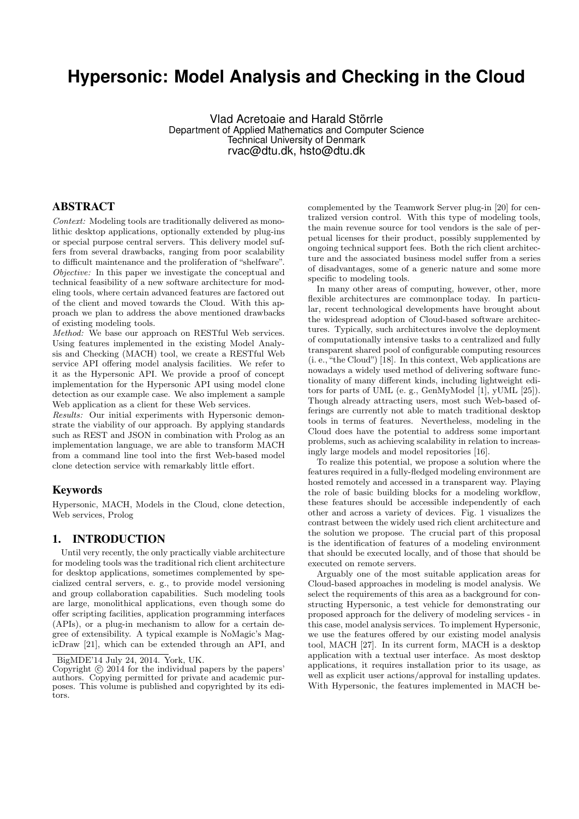# **Hypersonic: Model Analysis and Checking in the Cloud**

Vlad Acretoaie and Harald Störrle Department of Applied Mathematics and Computer Science Technical University of Denmark rvac@dtu.dk, hsto@dtu.dk

### ABSTRACT

Context: Modeling tools are traditionally delivered as monolithic desktop applications, optionally extended by plug-ins or special purpose central servers. This delivery model suffers from several drawbacks, ranging from poor scalability to difficult maintenance and the proliferation of "shelfware". Objective: In this paper we investigate the conceptual and technical feasibility of a new software architecture for modeling tools, where certain advanced features are factored out of the client and moved towards the Cloud. With this approach we plan to address the above mentioned drawbacks of existing modeling tools.

Method: We base our approach on RESTful Web services. Using features implemented in the existing Model Analysis and Checking (MACH) tool, we create a RESTful Web service API offering model analysis facilities. We refer to it as the Hypersonic API. We provide a proof of concept implementation for the Hypersonic API using model clone detection as our example case. We also implement a sample Web application as a client for these Web services.

Results: Our initial experiments with Hypersonic demonstrate the viability of our approach. By applying standards such as REST and JSON in combination with Prolog as an implementation language, we are able to transform MACH from a command line tool into the first Web-based model clone detection service with remarkably little effort.

#### Keywords

Hypersonic, MACH, Models in the Cloud, clone detection, Web services, Prolog

# 1. INTRODUCTION

Until very recently, the only practically viable architecture for modeling tools was the traditional rich client architecture for desktop applications, sometimes complemented by specialized central servers, e. g., to provide model versioning and group collaboration capabilities. Such modeling tools are large, monolithical applications, even though some do offer scripting facilities, application programming interfaces (APIs), or a plug-in mechanism to allow for a certain degree of extensibility. A typical example is NoMagic's MagicDraw [21], which can be extended through an API, and

complemented by the Teamwork Server plug-in [20] for centralized version control. With this type of modeling tools, the main revenue source for tool vendors is the sale of perpetual licenses for their product, possibly supplemented by ongoing technical support fees. Both the rich client architecture and the associated business model suffer from a series of disadvantages, some of a generic nature and some more specific to modeling tools.

In many other areas of computing, however, other, more flexible architectures are commonplace today. In particular, recent technological developments have brought about the widespread adoption of Cloud-based software architectures. Typically, such architectures involve the deployment of computationally intensive tasks to a centralized and fully transparent shared pool of configurable computing resources (i. e., "the Cloud") [18]. In this context, Web applications are nowadays a widely used method of delivering software functionality of many different kinds, including lightweight editors for parts of UML (e. g., GenMyModel [1], yUML [25]). Though already attracting users, most such Web-based offerings are currently not able to match traditional desktop tools in terms of features. Nevertheless, modeling in the Cloud does have the potential to address some important problems, such as achieving scalability in relation to increasingly large models and model repositories [16].

To realize this potential, we propose a solution where the features required in a fully-fledged modeling environment are hosted remotely and accessed in a transparent way. Playing the role of basic building blocks for a modeling workflow, these features should be accessible independently of each other and across a variety of devices. Fig. 1 visualizes the contrast between the widely used rich client architecture and the solution we propose. The crucial part of this proposal is the identification of features of a modeling environment that should be executed locally, and of those that should be executed on remote servers.

Arguably one of the most suitable application areas for Cloud-based approaches in modeling is model analysis. We select the requirements of this area as a background for constructing Hypersonic, a test vehicle for demonstrating our proposed approach for the delivery of modeling services - in this case, model analysis services. To implement Hypersonic, we use the features offered by our existing model analysis tool, MACH [27]. In its current form, MACH is a desktop application with a textual user interface. As most desktop applications, it requires installation prior to its usage, as well as explicit user actions/approval for installing updates. With Hypersonic, the features implemented in MACH be-

BigMDE'14 July 24, 2014. York, UK.

Copyright  $\odot$  2014 for the individual papers by the papers' authors. Copying permitted for private and academic purposes. This volume is published and copyrighted by its editors.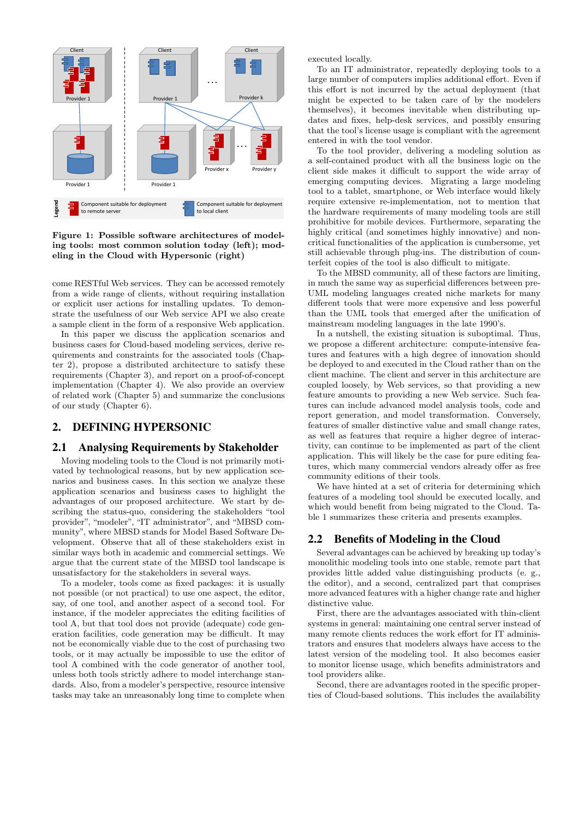

Figure 1: Possible software architectures of modeling tools: most common solution today (left); modeling in the Cloud with Hypersonic (right)

come RESTful Web services. They can be accessed remotely from a wide range of clients, without requiring installation or explicit user actions for installing updates. To demonstrate the usefulness of our Web service API we also create a sample client in the form of a responsive Web application.

In this paper we discuss the application scenarios and business cases for Cloud-based modeling services, derive requirements and constraints for the associated tools (Chapter 2), propose a distributed architecture to satisfy these requirements (Chapter 3), and report on a proof-of-concept implementation (Chapter 4). We also provide an overview of related work (Chapter 5) and summarize the conclusions of our study (Chapter 6).

# 2. DEFINING HYPERSONIC

#### 2.1 Analysing Requirements by Stakeholder

Moving modeling tools to the Cloud is not primarily motivated by technological reasons, but by new application scenarios and business cases. In this section we analyze these application scenarios and business cases to highlight the advantages of our proposed architecture. We start by describing the status-quo, considering the stakeholders "tool provider", "modeler", "IT administrator", and "MBSD community", where MBSD stands for Model Based Software Development. Observe that all of these stakeholders exist in similar ways both in academic and commercial settings. We argue that the current state of the MBSD tool landscape is unsatisfactory for the stakeholders in several ways.

To a modeler, tools come as fixed packages: it is usually not possible (or not practical) to use one aspect, the editor, say, of one tool, and another aspect of a second tool. For instance, if the modeler appreciates the editing facilities of tool A, but that tool does not provide (adequate) code generation facilities, code generation may be difficult. It may not be economically viable due to the cost of purchasing two tools, or it may actually be impossible to use the editor of tool A combined with the code generator of another tool, unless both tools strictly adhere to model interchange standards. Also, from a modeler's perspective, resource intensive tasks may take an unreasonably long time to complete when

executed locally.

To an IT administrator, repeatedly deploying tools to a large number of computers implies additional effort. Even if this effort is not incurred by the actual deployment (that might be expected to be taken care of by the modelers themselves), it becomes inevitable when distributing updates and fixes, help-desk services, and possibly ensuring that the tool's license usage is compliant with the agreement entered in with the tool vendor.

To the tool provider, delivering a modeling solution as a self-contained product with all the business logic on the client side makes it difficult to support the wide array of emerging computing devices. Migrating a large modeling tool to a tablet, smartphone, or Web interface would likely require extensive re-implementation, not to mention that the hardware requirements of many modeling tools are still prohibitive for mobile devices. Furthermore, separating the highly critical (and sometimes highly innovative) and noncritical functionalities of the application is cumbersome, yet still achievable through plug-ins. The distribution of counterfeit copies of the tool is also difficult to mitigate.

To the MBSD community, all of these factors are limiting, in much the same way as superficial differences between pre-UML modeling languages created niche markets for many different tools that were more expensive and less powerful than the UML tools that emerged after the unification of mainstream modeling languages in the late 1990's.

In a nutshell, the existing situation is suboptimal. Thus, we propose a different architecture: compute-intensive features and features with a high degree of innovation should be deployed to and executed in the Cloud rather than on the client machine. The client and server in this architecture are coupled loosely, by Web services, so that providing a new feature amounts to providing a new Web service. Such features can include advanced model analysis tools, code and report generation, and model transformation. Conversely, features of smaller distinctive value and small change rates, as well as features that require a higher degree of interactivity, can continue to be implemented as part of the client application. This will likely be the case for pure editing features, which many commercial vendors already offer as free community editions of their tools.

We have hinted at a set of criteria for determining which features of a modeling tool should be executed locally, and which would benefit from being migrated to the Cloud. Table 1 summarizes these criteria and presents examples.

# 2.2 Benefits of Modeling in the Cloud

Several advantages can be achieved by breaking up today's monolithic modeling tools into one stable, remote part that provides little added value distinguishing products (e. g., the editor), and a second, centralized part that comprises more advanced features with a higher change rate and higher distinctive value.

First, there are the advantages associated with thin-client systems in general: maintaining one central server instead of many remote clients reduces the work effort for IT administrators and ensures that modelers always have access to the latest version of the modeling tool. It also becomes easier to monitor license usage, which benefits administrators and tool providers alike.

Second, there are advantages rooted in the specific properties of Cloud-based solutions. This includes the availability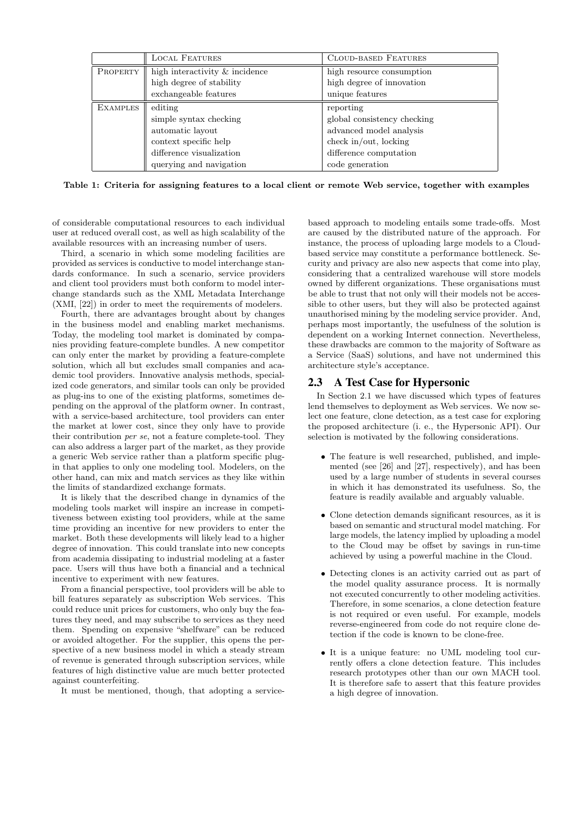|                 | <b>LOCAL FEATURES</b>          | <b>CLOUD-BASED FEATURES</b> |
|-----------------|--------------------------------|-----------------------------|
| PROPERTY        | high interactivity & incidence | high resource consumption   |
|                 | high degree of stability       | high degree of innovation   |
|                 | exchangeable features          | unique features             |
| <b>EXAMPLES</b> | editing                        | reporting                   |
|                 | simple syntax checking         | global consistency checking |
|                 | automatic layout               | advanced model analysis     |
|                 | context specific help          | check in/out, locking       |
|                 | difference visualization       | difference computation      |
|                 | querying and navigation        | code generation             |

Table 1: Criteria for assigning features to a local client or remote Web service, together with examples

of considerable computational resources to each individual user at reduced overall cost, as well as high scalability of the available resources with an increasing number of users.

Third, a scenario in which some modeling facilities are provided as services is conductive to model interchange standards conformance. In such a scenario, service providers and client tool providers must both conform to model interchange standards such as the XML Metadata Interchange (XMI, [22]) in order to meet the requirements of modelers.

Fourth, there are advantages brought about by changes in the business model and enabling market mechanisms. Today, the modeling tool market is dominated by companies providing feature-complete bundles. A new competitor can only enter the market by providing a feature-complete solution, which all but excludes small companies and academic tool providers. Innovative analysis methods, specialized code generators, and similar tools can only be provided as plug-ins to one of the existing platforms, sometimes depending on the approval of the platform owner. In contrast, with a service-based architecture, tool providers can enter the market at lower cost, since they only have to provide their contribution per se, not a feature complete-tool. They can also address a larger part of the market, as they provide a generic Web service rather than a platform specific plugin that applies to only one modeling tool. Modelers, on the other hand, can mix and match services as they like within the limits of standardized exchange formats.

It is likely that the described change in dynamics of the modeling tools market will inspire an increase in competitiveness between existing tool providers, while at the same time providing an incentive for new providers to enter the market. Both these developments will likely lead to a higher degree of innovation. This could translate into new concepts from academia dissipating to industrial modeling at a faster pace. Users will thus have both a financial and a technical incentive to experiment with new features.

From a financial perspective, tool providers will be able to bill features separately as subscription Web services. This could reduce unit prices for customers, who only buy the features they need, and may subscribe to services as they need them. Spending on expensive "shelfware" can be reduced or avoided altogether. For the supplier, this opens the perspective of a new business model in which a steady stream of revenue is generated through subscription services, while features of high distinctive value are much better protected against counterfeiting.

It must be mentioned, though, that adopting a service-

based approach to modeling entails some trade-offs. Most are caused by the distributed nature of the approach. For instance, the process of uploading large models to a Cloudbased service may constitute a performance bottleneck. Security and privacy are also new aspects that come into play, considering that a centralized warehouse will store models owned by different organizations. These organisations must be able to trust that not only will their models not be accessible to other users, but they will also be protected against unauthorised mining by the modeling service provider. And, perhaps most importantly, the usefulness of the solution is dependent on a working Internet connection. Nevertheless, these drawbacks are common to the majority of Software as a Service (SaaS) solutions, and have not undermined this architecture style's acceptance.

# 2.3 A Test Case for Hypersonic

In Section 2.1 we have discussed which types of features lend themselves to deployment as Web services. We now select one feature, clone detection, as a test case for exploring the proposed architecture (i. e., the Hypersonic API). Our selection is motivated by the following considerations.

- The feature is well researched, published, and implemented (see [26] and [27], respectively), and has been used by a large number of students in several courses in which it has demonstrated its usefulness. So, the feature is readily available and arguably valuable.
- Clone detection demands significant resources, as it is based on semantic and structural model matching. For large models, the latency implied by uploading a model to the Cloud may be offset by savings in run-time achieved by using a powerful machine in the Cloud.
- Detecting clones is an activity carried out as part of the model quality assurance process. It is normally not executed concurrently to other modeling activities. Therefore, in some scenarios, a clone detection feature is not required or even useful. For example, models reverse-engineered from code do not require clone detection if the code is known to be clone-free.
- It is a unique feature: no UML modeling tool currently offers a clone detection feature. This includes research prototypes other than our own MACH tool. It is therefore safe to assert that this feature provides a high degree of innovation.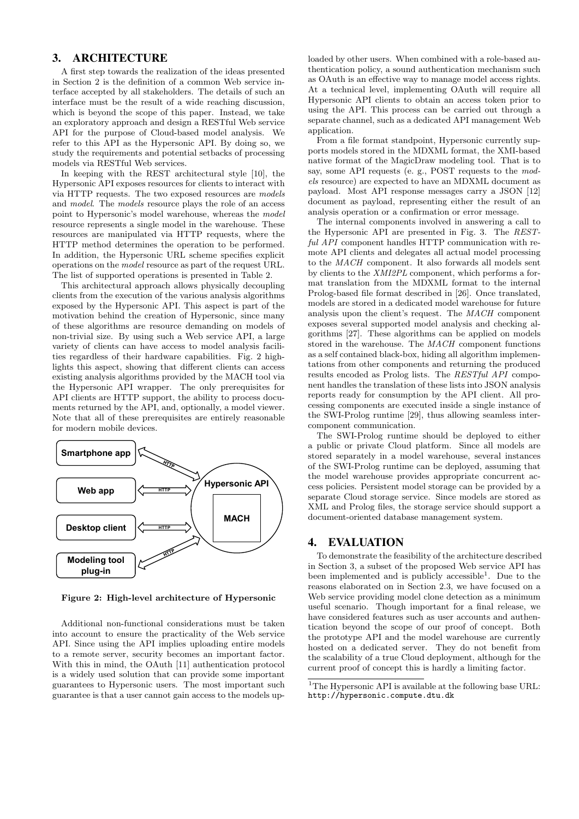# 3. ARCHITECTURE

A first step towards the realization of the ideas presented in Section 2 is the definition of a common Web service interface accepted by all stakeholders. The details of such an interface must be the result of a wide reaching discussion, which is beyond the scope of this paper. Instead, we take an exploratory approach and design a RESTful Web service API for the purpose of Cloud-based model analysis. We refer to this API as the Hypersonic API. By doing so, we study the requirements and potential setbacks of processing models via RESTful Web services.

In keeping with the REST architectural style [10], the Hypersonic API exposes resources for clients to interact with via HTTP requests. The two exposed resources are models and model. The models resource plays the role of an access point to Hypersonic's model warehouse, whereas the model resource represents a single model in the warehouse. These resources are manipulated via HTTP requests, where the HTTP method determines the operation to be performed. In addition, the Hypersonic URL scheme specifies explicit operations on the model resource as part of the request URL. The list of supported operations is presented in Table 2.

This architectural approach allows physically decoupling clients from the execution of the various analysis algorithms exposed by the Hypersonic API. This aspect is part of the motivation behind the creation of Hypersonic, since many of these algorithms are resource demanding on models of non-trivial size. By using such a Web service API, a large variety of clients can have access to model analysis facilities regardless of their hardware capabilities. Fig. 2 highlights this aspect, showing that different clients can access existing analysis algorithms provided by the MACH tool via the Hypersonic API wrapper. The only prerequisites for API clients are HTTP support, the ability to process documents returned by the API, and, optionally, a model viewer. Note that all of these prerequisites are entirely reasonable for modern mobile devices.



Figure 2: High-level architecture of Hypersonic

Additional non-functional considerations must be taken into account to ensure the practicality of the Web service API. Since using the API implies uploading entire models to a remote server, security becomes an important factor. With this in mind, the OAuth [11] authentication protocol is a widely used solution that can provide some important guarantees to Hypersonic users. The most important such guarantee is that a user cannot gain access to the models up-

loaded by other users. When combined with a role-based authentication policy, a sound authentication mechanism such as OAuth is an effective way to manage model access rights. At a technical level, implementing OAuth will require all Hypersonic API clients to obtain an access token prior to using the API. This process can be carried out through a separate channel, such as a dedicated API management Web application.

From a file format standpoint, Hypersonic currently supports models stored in the MDXML format, the XMI-based native format of the MagicDraw modeling tool. That is to say, some API requests (e. g., POST requests to the models resource) are expected to have an MDXML document as payload. Most API response messages carry a JSON [12] document as payload, representing either the result of an analysis operation or a confirmation or error message.

The internal components involved in answering a call to the Hypersonic API are presented in Fig. 3. The RESTful API component handles HTTP communication with remote API clients and delegates all actual model processing to the MACH component. It also forwards all models sent by clients to the XMI2PL component, which performs a format translation from the MDXML format to the internal Prolog-based file format described in [26]. Once translated, models are stored in a dedicated model warehouse for future analysis upon the client's request. The MACH component exposes several supported model analysis and checking algorithms [27]. These algorithms can be applied on models stored in the warehouse. The MACH component functions as a self contained black-box, hiding all algorithm implementations from other components and returning the produced results encoded as Prolog lists. The RESTful API component handles the translation of these lists into JSON analysis reports ready for consumption by the API client. All processing components are executed inside a single instance of the SWI-Prolog runtime [29], thus allowing seamless intercomponent communication.

The SWI-Prolog runtime should be deployed to either a public or private Cloud platform. Since all models are stored separately in a model warehouse, several instances of the SWI-Prolog runtime can be deployed, assuming that the model warehouse provides appropriate concurrent access policies. Persistent model storage can be provided by a separate Cloud storage service. Since models are stored as XML and Prolog files, the storage service should support a document-oriented database management system.

#### 4. EVALUATION

To demonstrate the feasibility of the architecture described in Section 3, a subset of the proposed Web service API has been implemented and is publicly accessible<sup>1</sup>. Due to the reasons elaborated on in Section 2.3, we have focused on a Web service providing model clone detection as a minimum useful scenario. Though important for a final release, we have considered features such as user accounts and authentication beyond the scope of our proof of concept. Both the prototype API and the model warehouse are currently hosted on a dedicated server. They do not benefit from the scalability of a true Cloud deployment, although for the current proof of concept this is hardly a limiting factor.

<sup>&</sup>lt;sup>1</sup>The Hypersonic API is available at the following base URL: http://hypersonic.compute.dtu.dk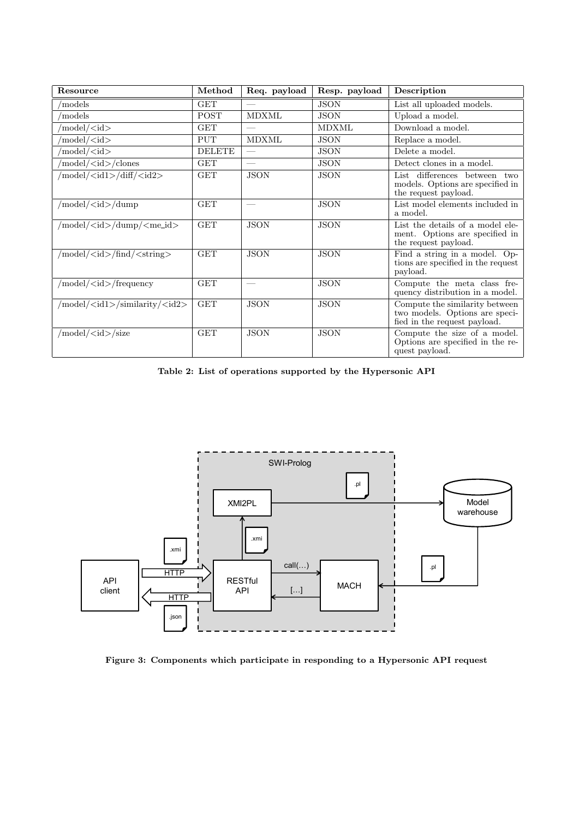| Resource                                   | Method        | Req. payload             | Resp. payload | Description                                                                                      |
|--------------------------------------------|---------------|--------------------------|---------------|--------------------------------------------------------------------------------------------------|
| models                                     | <b>GET</b>    |                          | <b>JSON</b>   | List all uploaded models.                                                                        |
| models                                     | <b>POST</b>   | <b>MDXML</b>             | <b>JSON</b>   | Upload a model.                                                                                  |
| /model/ <id></id>                          | <b>GET</b>    | $\overline{\phantom{a}}$ | <b>MDXML</b>  | Download a model.                                                                                |
| /model/ <id></id>                          | <b>PUT</b>    | <b>MDXML</b>             | <b>JSON</b>   | Replace a model.                                                                                 |
| /model/ <id></id>                          | <b>DELETE</b> | $\frac{1}{2}$            | <b>JSON</b>   | Delete a model.                                                                                  |
| 'model/ <id>/clones</id>                   | <b>GET</b>    |                          | <b>JSON</b>   | Detect clones in a model.                                                                        |
| /model/ <id1>/diff/<id2></id2></id1>       | <b>GET</b>    | <b>JSON</b>              | <b>JSON</b>   | List differences between two<br>models. Options are specified in<br>the request payload.         |
| $/$ model $/$ $\lt$ id $>$ $/$ dump        | <b>GET</b>    |                          | <b>JSON</b>   | List model elements included in<br>a model.                                                      |
| /model/ <id>/dump/<me_id></me_id></id>     | <b>GET</b>    | <b>JSON</b>              | <b>JSON</b>   | List the details of a model ele-<br>ment. Options are specified in<br>the request payload.       |
| /model/ <id>/find/<string></string></id>   | <b>GET</b>    | <b>JSON</b>              | <b>JSON</b>   | Find a string in a model. Op-<br>tions are specified in the request<br>payload.                  |
| /model/ <id>/frequency</id>                | <b>GET</b>    |                          | <b>JSON</b>   | Compute the meta class fre-<br>quency distribution in a model.                                   |
| /model/ <id1>/similarity/<id2></id2></id1> | <b>GET</b>    | <b>JSON</b>              | <b>JSON</b>   | Compute the similarity between<br>two models. Options are speci-<br>fied in the request payload. |
| /model/ <id>/size</id>                     | <b>GET</b>    | <b>JSON</b>              | <b>JSON</b>   | Compute the size of a model.<br>Options are specified in the re-<br>quest payload.               |

Table 2: List of operations supported by the Hypersonic API



Figure 3: Components which participate in responding to a Hypersonic API request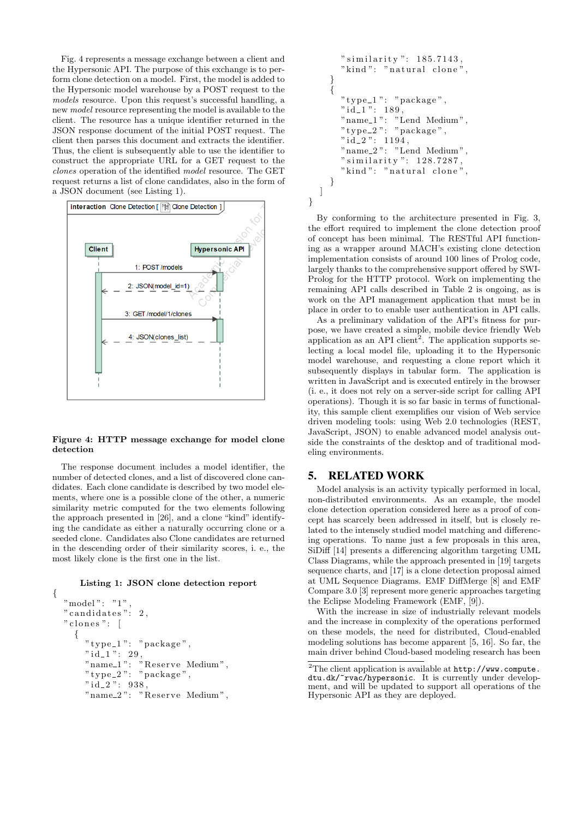Fig. 4 represents a message exchange between a client and the Hypersonic API. The purpose of this exchange is to perform clone detection on a model. First, the model is added to the Hypersonic model warehouse by a POST request to the models resource. Upon this request's successful handling, a new model resource representing the model is available to the client. The resource has a unique identifier returned in the JSON response document of the initial POST request. The client then parses this document and extracts the identifier. Thus, the client is subsequently able to use the identifier to construct the appropriate URL for a GET request to the clones operation of the identified model resource. The GET request returns a list of clone candidates, also in the form of a JSON document (see Listing 1).



#### Figure 4: HTTP message exchange for model clone detection

The response document includes a model identifier, the number of detected clones, and a list of discovered clone candidates. Each clone candidate is described by two model elements, where one is a possible clone of the other, a numeric similarity metric computed for the two elements following the approach presented in [26], and a clone "kind" identifying the candidate as either a naturally occurring clone or a seeded clone. Candidates also Clone candidates are returned in the descending order of their similarity scores, i. e., the most likely clone is the first one in the list.

Listing 1: JSON clone detection report

```
{
  "model": "1"," candidates ": 2," clones ":{
      "type_1" : "package","\dot{1}\dot{d}_-1": 29,
      "name_1": "Reserve Medium",
      "type_2" : "package","id_2": 938,
      "name_2": "Reserve Medium",
```

```
" similarity ": 185.7143,
    "kind": "natural clone",
  }
  {
    "type_1" : "package","id_1" : 189,"name_1" : "Lend Medium"."type_2": "package",
    " i d_2": 1194,
    "name_2" : "Lend Medium"," similarity ": 128.7287,
    "kind": "natural clone"
  }
]
```
}

By conforming to the architecture presented in Fig. 3, the effort required to implement the clone detection proof of concept has been minimal. The RESTful API functioning as a wrapper around MACH's existing clone detection implementation consists of around 100 lines of Prolog code, largely thanks to the comprehensive support offered by SWI-Prolog for the HTTP protocol. Work on implementing the remaining API calls described in Table 2 is ongoing, as is work on the API management application that must be in place in order to to enable user authentication in API calls.

As a preliminary validation of the API's fitness for purpose, we have created a simple, mobile device friendly Web application as an API client<sup>2</sup>. The application supports selecting a local model file, uploading it to the Hypersonic model warehouse, and requesting a clone report which it subsequently displays in tabular form. The application is written in JavaScript and is executed entirely in the browser (i. e., it does not rely on a server-side script for calling API operations). Though it is so far basic in terms of functionality, this sample client exemplifies our vision of Web service driven modeling tools: using Web 2.0 technologies (REST, JavaScript, JSON) to enable advanced model analysis outside the constraints of the desktop and of traditional modeling environments.

# 5. RELATED WORK

Model analysis is an activity typically performed in local, non-distributed environments. As an example, the model clone detection operation considered here as a proof of concept has scarcely been addressed in itself, but is closely related to the intensely studied model matching and differencing operations. To name just a few proposals in this area, SiDiff [14] presents a differencing algorithm targeting UML Class Diagrams, while the approach presented in [19] targets sequence charts, and [17] is a clone detection proposal aimed at UML Sequence Diagrams. EMF DiffMerge [8] and EMF Compare 3.0 [3] represent more generic approaches targeting the Eclipse Modeling Framework (EMF, [9]).

With the increase in size of industrially relevant models and the increase in complexity of the operations performed on these models, the need for distributed, Cloud-enabled modeling solutions has become apparent [5, 16]. So far, the main driver behind Cloud-based modeling research has been

 $2\overline{\text{The client application is available at \texttt{http://www.compute}}}.$ dtu.dk/~rvac/hypersonic. It is currently under development, and will be updated to support all operations of the Hypersonic API as they are deployed.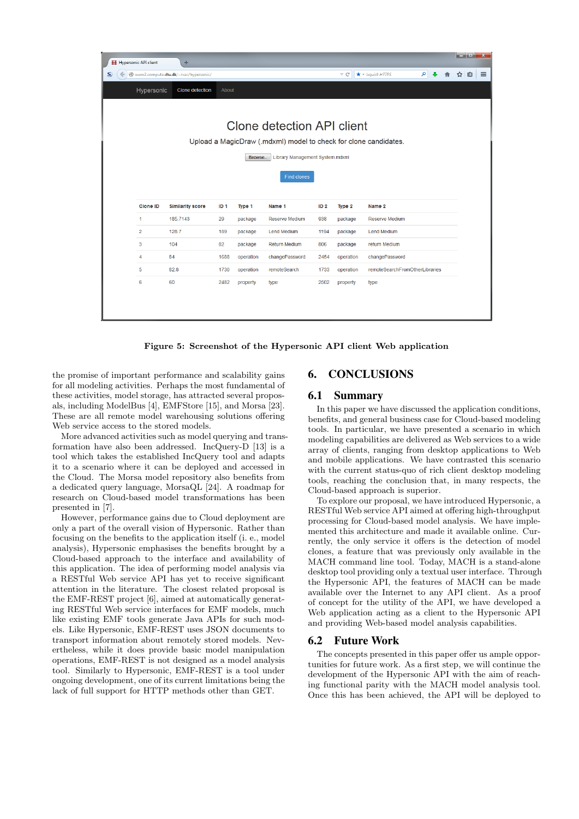| أركراها<br>Hypersonic API client<br>÷                            |                 |                         |                 |           |                       |                                              |           |                                |          | x |  |     |  |          |
|------------------------------------------------------------------|-----------------|-------------------------|-----------------|-----------|-----------------------|----------------------------------------------|-----------|--------------------------------|----------|---|--|-----|--|----------|
| S<br>$\leftarrow$<br>Www2.compute.dtu.dk/~rvac/hypersonic/       |                 |                         |                 |           |                       | $\star$ + Ixquick HTTPS<br>$\triangledown$ C |           |                                | $\rho$ . |   |  | ☆ 自 |  | $\equiv$ |
| Hypersonic<br>Clone detection<br>About                           |                 |                         |                 |           |                       |                                              |           |                                |          |   |  |     |  |          |
|                                                                  |                 |                         |                 |           |                       |                                              |           |                                |          |   |  |     |  |          |
| Clone detection API client                                       |                 |                         |                 |           |                       |                                              |           |                                |          |   |  |     |  |          |
|                                                                  |                 |                         |                 |           |                       |                                              |           |                                |          |   |  |     |  |          |
| Upload a MagicDraw (.mdxml) model to check for clone candidates. |                 |                         |                 |           |                       |                                              |           |                                |          |   |  |     |  |          |
| Library Management System.mdxml<br>Browse                        |                 |                         |                 |           |                       |                                              |           |                                |          |   |  |     |  |          |
|                                                                  |                 |                         |                 |           |                       |                                              |           |                                |          |   |  |     |  |          |
|                                                                  |                 |                         |                 |           | <b>Find clones</b>    |                                              |           |                                |          |   |  |     |  |          |
|                                                                  |                 |                         |                 |           |                       |                                              |           |                                |          |   |  |     |  |          |
|                                                                  | <b>Clone ID</b> | <b>Similarity score</b> | ID <sub>1</sub> | Type 1    | Name 1                | ID <sub>2</sub>                              | Type 2    | Name 2                         |          |   |  |     |  |          |
|                                                                  | $\mathbf{1}$    | 185.7143                | 29              | package   | <b>Reserve Medium</b> | 938                                          | package   | <b>Reserve Medium</b>          |          |   |  |     |  |          |
|                                                                  | $\overline{2}$  | 128.7                   | 189             | package   | <b>Lend Medium</b>    | 1194                                         | package   | <b>Lend Medium</b>             |          |   |  |     |  |          |
|                                                                  | 3               | 104                     | 82              | package   | <b>Return Medium</b>  | 806                                          | package   | return Medium                  |          |   |  |     |  |          |
|                                                                  | 4               | 84                      | 1688            | operation | changePassword        | 2454                                         | operation | changePassword                 |          |   |  |     |  |          |
|                                                                  | 5               | 82.8                    | 1730            | operation | remoteSearch          | 1733                                         | operation | remoteSearchFromOtherLibraries |          |   |  |     |  |          |
|                                                                  | 6               | 60                      | 2482            | property  | type                  | 2502                                         | property  | type                           |          |   |  |     |  |          |
|                                                                  |                 |                         |                 |           |                       |                                              |           |                                |          |   |  |     |  |          |
|                                                                  |                 |                         |                 |           |                       |                                              |           |                                |          |   |  |     |  |          |
|                                                                  |                 |                         |                 |           |                       |                                              |           |                                |          |   |  |     |  |          |

Figure 5: Screenshot of the Hypersonic API client Web application

the promise of important performance and scalability gains for all modeling activities. Perhaps the most fundamental of these activities, model storage, has attracted several proposals, including ModelBus [4], EMFStore [15], and Morsa [23]. These are all remote model warehousing solutions offering Web service access to the stored models.

More advanced activities such as model querying and transformation have also been addressed. IncQuery-D [13] is a tool which takes the established IncQuery tool and adapts it to a scenario where it can be deployed and accessed in the Cloud. The Morsa model repository also benefits from a dedicated query language, MorsaQL [24]. A roadmap for research on Cloud-based model transformations has been presented in [7].

However, performance gains due to Cloud deployment are only a part of the overall vision of Hypersonic. Rather than focusing on the benefits to the application itself (i. e., model analysis), Hypersonic emphasises the benefits brought by a Cloud-based approach to the interface and availability of this application. The idea of performing model analysis via a RESTful Web service API has yet to receive significant attention in the literature. The closest related proposal is the EMF-REST project [6], aimed at automatically generating RESTful Web service interfaces for EMF models, much like existing EMF tools generate Java APIs for such models. Like Hypersonic, EMF-REST uses JSON documents to transport information about remotely stored models. Nevertheless, while it does provide basic model manipulation operations, EMF-REST is not designed as a model analysis tool. Similarly to Hypersonic, EMF-REST is a tool under ongoing development, one of its current limitations being the lack of full support for HTTP methods other than GET.

# 6. CONCLUSIONS

# 6.1 Summary

In this paper we have discussed the application conditions, benefits, and general business case for Cloud-based modeling tools. In particular, we have presented a scenario in which modeling capabilities are delivered as Web services to a wide array of clients, ranging from desktop applications to Web and mobile applications. We have contrasted this scenario with the current status-quo of rich client desktop modeling tools, reaching the conclusion that, in many respects, the Cloud-based approach is superior.

To explore our proposal, we have introduced Hypersonic, a RESTful Web service API aimed at offering high-throughput processing for Cloud-based model analysis. We have implemented this architecture and made it available online. Currently, the only service it offers is the detection of model clones, a feature that was previously only available in the MACH command line tool. Today, MACH is a stand-alone desktop tool providing only a textual user interface. Through the Hypersonic API, the features of MACH can be made available over the Internet to any API client. As a proof of concept for the utility of the API, we have developed a Web application acting as a client to the Hypersonic API and providing Web-based model analysis capabilities.

# 6.2 Future Work

The concepts presented in this paper offer us ample opportunities for future work. As a first step, we will continue the development of the Hypersonic API with the aim of reaching functional parity with the MACH model analysis tool. Once this has been achieved, the API will be deployed to